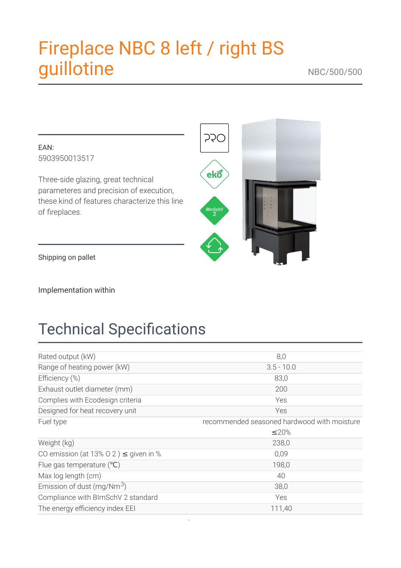# Fireplace NBC 8 left / right BS guillotine





Shipping on pallet

Implementation within

# **Technical Specifications**

| Rated output (kW)                          | 8,0                                         |
|--------------------------------------------|---------------------------------------------|
| Range of heating power (kW)                | $3.5 - 10.0$                                |
| Efficiency (%)                             | 83,0                                        |
| Exhaust outlet diameter (mm)               | 200                                         |
| Complies with Ecodesign criteria           | Yes                                         |
| Designed for heat recovery unit            | Yes                                         |
| Fuel type                                  | recommended seasoned hardwood with moisture |
|                                            | ≤20%                                        |
| Weight (kg)                                | 238,0                                       |
| CO emission (at 13% 0 2) $\leq$ given in % | 0,09                                        |
| Flue gas temperature $(^{\circ}C)$         | 198,0                                       |
| Max log length (cm)                        | 40                                          |
| Emission of dust $(mg/Nm3)$                | 38,0                                        |
| Compliance with BImSchV 2 standard         | Yes                                         |
| The energy efficiency index EEI            | 111,40                                      |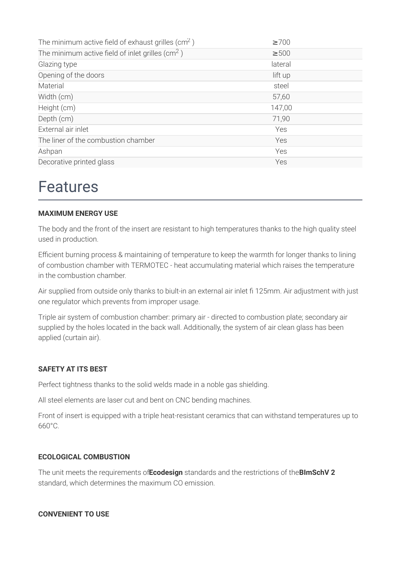| The minimum active field of exhaust grilles ( $\text{cm}^2$ ) | $\geq 700$ |
|---------------------------------------------------------------|------------|
| The minimum active field of inlet grilles (cm <sup>2</sup> )  | $\geq 500$ |
| Glazing type                                                  | lateral    |
| Opening of the doors                                          | lift up    |
| Material                                                      | steel      |
| Width (cm)                                                    | 57,60      |
| Height (cm)                                                   | 147,00     |
| Depth (cm)                                                    | 71,90      |
| External air inlet                                            | Yes        |
| The liner of the combustion chamber                           | Yes        |
| Ashpan                                                        | Yes        |
| Decorative printed glass                                      | Yes        |

### **Features**

#### **MAXIMUM ENERGY USE**

The body and the front of the insert are resistant to high temperatures thanks to the high quality steel used in production.

Efficient burning process & maintaining of temperature to keep the warmth for longer thanks to lining of combustion chamber with TERMOTEC - heat accumulating material which raises the temperature in the combustion chamber.

Air supplied from outside only thanks to biult-in an external air inlet fi 125mm. Air adjustment with just one regulator which prevents from improper usage.

Triple air system of combustion chamber: primary air - directed to combustion plate; secondary air supplied by the holes located in the back wall. Additionally, the system of air clean glass has been applied (curtain air).

#### **SAFETY AT ITS BEST**

Perfect tightness thanks to the solid welds made in a noble gas shielding.

All steel elements are laser cut and bent on CNC bending machines.

Front of insert is equipped with a triple heat-resistant ceramics that can withstand temperatures up to 660°C

#### **ECOLOGICAL COMBUSTION**

The unit meets the requirements of Ecodesign standards and the restrictions of the BImSchV 2 standard, which determines the maximum CO emission.

#### **CONVENIENT TO USE**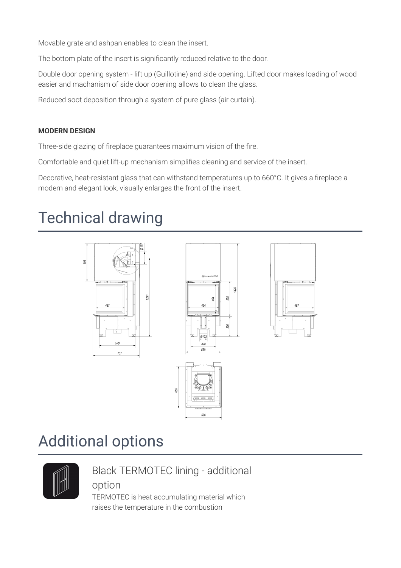Movable grate and ashpan enables to clean the insert.

The bottom plate of the insert is significantly reduced relative to the door.

Double door opening system - lift up (Guillotine) and side opening. Lifted door makes loading of wood easier and machanism of side door opening allows to clean the glass.

Reduced soot deposition through a system of pure glass (air curtain).

#### **MODERN DESIGN**

Three-side glazing of fireplace guarantees maximum vision of the fire.

Comfortable and quiet lift-up mechanism simplifies cleaning and service of the insert.

Decorative, heat-resistant glass that can withstand temperatures up to 660°C. It gives a fireplace a modern and elegant look, visually enlarges the front of the insert.

### **Technical drawing**



### **Additional options**



### **Black TERMOTEC lining - additional**

### option

TERMOTEC is heat accumulating material which raises the temperature in the combustion